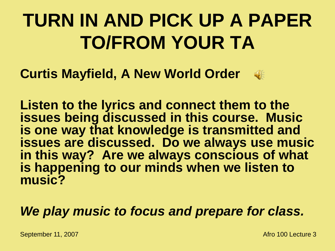## **TURN IN AND PICK UP A PAPER TO/FROM YOUR TA**

**Curtis Mayfield, A New World Order**



#### *We play music to focus and prepare for class.*

 $\mathbb{Q}$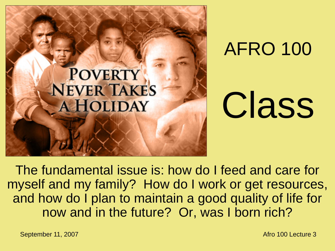

AFRO 100

# Class

The fundamental issue is: how do I feed and care for myself and my family? How do I work or get resources, and how do I plan to maintain a good quality of life for now and in the future? Or, was I born rich?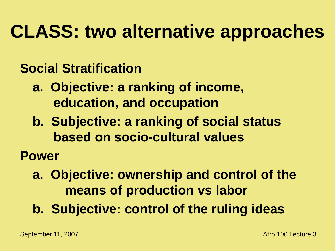## **CLASS: two alternative approaches**

#### **Social Stratification**

- **a. Objective: a ranking of income, education, and occupation**
- **b. Subjective: a ranking of social status based on socio-cultural values**
- **Power**
	- **a. Objective: ownership and control of the means of production vs labor**
	- **b. Subjective: control of the ruling ideas**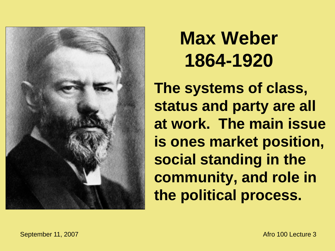

## **Max Weber 1864-1920**

**The systems of class, status and party are all at work. The main issue is ones market position, social standing in the community, and role in the political process.**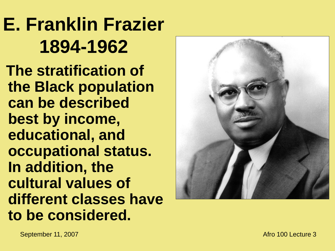## **E. Franklin Frazier 1894 -1962**

**The stratification of the Black population can be described best by income, educational, and occupational status. In addition, the cultural values of different classes have to be considered.**

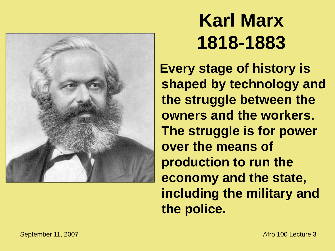

## **Karl Marx 1818-1883**

**Every stage of history is shaped by technology and the struggle between the owners and the workers. The struggle is for power over the means of production to run the economy and the state, including the military and the police.**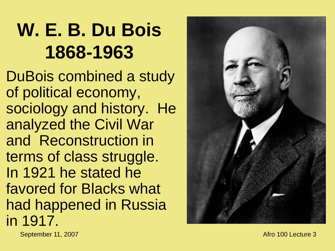## **W. E. B. Du Bois 1868 -1963**

DuBois combined a study of political economy, sociology and history. He analyzed the Civil War and Reconstruction in terms of class struggle. In 1921 he stated he favored for Blacks what had happened in Russia in 1917.

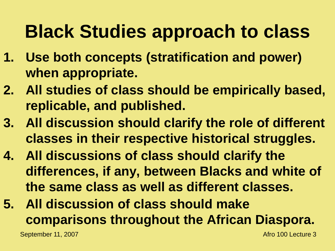## **Black Studies approach to class**

- **1. Use both concepts (stratification and power) when appropriate.**
- **2. All studies of class should be empirically based, replicable, and published.**
- **3. All discussion should clarify the role of different classes in their respective historical struggles.**
- **4. All discussions of class should clarify the differences, if any, between Blacks and white of the same class as well as different classes.**
- **5. All discussion of class should make comparisons throughout the African Diaspora.**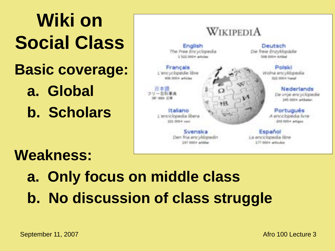**Wiki on Social Class Basic coverage: a. Global b. Scholars**

#### **Weakness:**

**a. Only focus on middle class b. No discussion of class struggle**

**Deutsch** Che freie Enzyklopadie 508 000+ Artist

WIKIPEDIA

English

The Free Encyclopedia

1.122.000+ articles

Swenske

Den frui encyklopedin

LIFT DOOR artistan

Francais

L'encyclopédie libre

606 550 Family 8

Italiano

z leociclopedia libera

221.000+ was

日本語 コリーの長車車

17 000 E.B.

Potekt Wolna encyklopedia **Sanach é dobré Station** 

> Nederlands De vroe encyclopedie 345-0004 artifaters

Portugués A enciclopédia livre 203 500 + artises

Español La enciclopedia libre 177 000+ articulas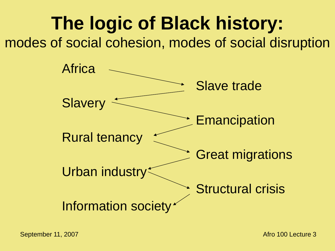**The logic of Black history:** modes of social cohesion, modes of social disruption

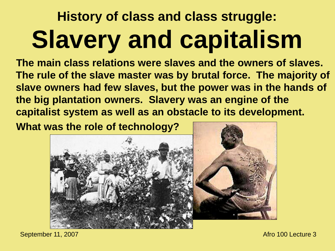## **History of class and class struggle: Slavery and capitalism**

**The main class relations were slaves and the owners of slaves. The rule of the slave master was by brutal force. The majority of slave owners had few slaves, but the power was in the hands of the big plantation owners. Slavery was an engine of the capitalist system as well as an obstacle to its development.** 

**What was the role of technology?**

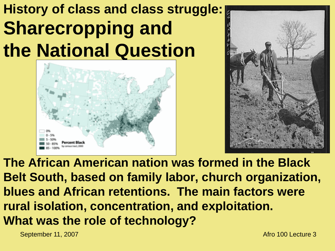### **History of class and class struggle: Sharecropping and the National Question**





**The African American nation was formed in the Black Belt South, based on family labor, church organization, blues and African retentions. The main factors were rural isolation, concentration, and exploitation. What was the role of technology?**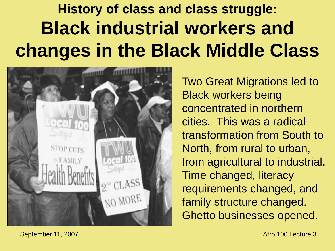### **History of class and class struggle: Black industrial workers and changes in the Black Middle Class**



Two Great Migrations led to Black workers being concentrated in northern cities. This was a radical transformation from South to North, from rural to urban, from agricultural to industrial. Time changed, literacy requirements changed, and family structure changed. Ghetto businesses opened.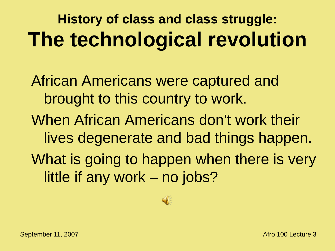## **History of class and class struggle: The technological revolution**

African Americans were captured and brought to this country to work. When African Americans don't work their lives degenerate and bad things happen. What is going to happen when there is very little if any work – no jobs?

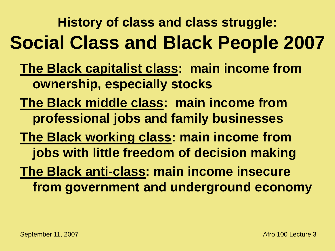**History of class and class struggle: Social Class and Black People 2007**

- **The Black capitalist class: main income from ownership, especially stocks**
- **The Black middle class: main income from professional jobs and family businesses**
- **The Black working class: main income from jobs with little freedom of decision making**
- **The Black anti-class: main income insecure from government and underground economy**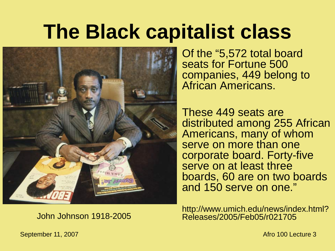## **The Black capitalist class**



Of the "5,572 total board seats for Fortune 500 companies, 449 belong to African Americans.

These 449 seats are distributed among 255 African Americans, many of whom serve on more than one corporate board. Forty-five serve on at least three boards, 60 are on two boards and 150 serve on one."

http://www.umich.edu/news/index.html? John Johnson 1918-2005 Releases/2005/Feb05/r021705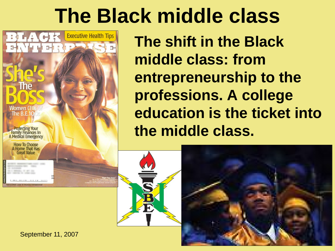## **The Black middle class**



**The shift in the Black middle class: from entrepreneurship to the professions. A college education is the ticket into the middle class.**



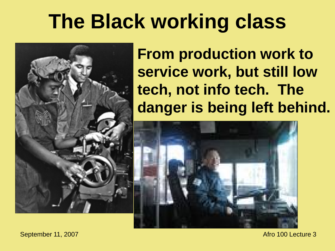## **The Black working class**



**From production work to service work, but still low tech, not info tech. The danger is being left behind.**

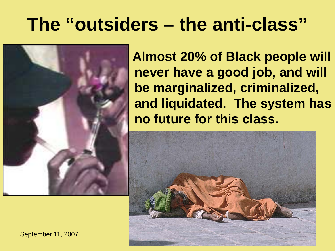## **The "outsiders – the anti-class"**



**Almost 20% of Black people will never have a good job, and will be marginalized, criminalized, and liquidated. The system has no future for this class.**



September 11, 2007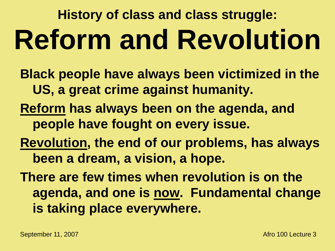## **History of class and class struggle: Reform and Revolution**

**Black people have always been victimized in the US, a great crime against humanity. Reform has always been on the agenda, and people have fought on every issue.**

**Revolution, the end of our problems, has always been a dream, a vision, a hope.**

**There are few times when revolution is on the agenda, and one is now. Fundamental change is taking place everywhere.**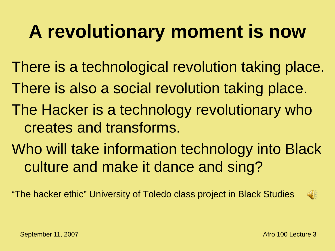## **A revolutionary moment is now**

There is a technological revolution taking place. There is also a social revolution taking place. The Hacker is a technology revolutionary who creates and transforms. Who will take information technology into Black culture and make it dance and sing?

"The hacker ethic" University of Toledo class project in Black Studies

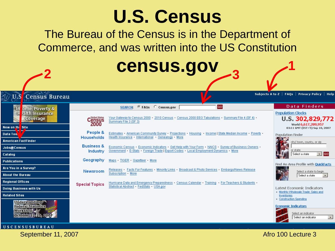### **U.S. Census**

The Bureau of the Census is in the Department of Commerce, and was written into the US Constitution

|                                                                                             |                                                | <b>Census.gov</b>                                                                                                                                                                                            |                                                                                                                            |
|---------------------------------------------------------------------------------------------|------------------------------------------------|--------------------------------------------------------------------------------------------------------------------------------------------------------------------------------------------------------------|----------------------------------------------------------------------------------------------------------------------------|
| <b>Census Bureau</b><br>U.S                                                                 |                                                |                                                                                                                                                                                                              | Subjects A to Z   FAQs   Privacy Policy   Help                                                                             |
| In ome, Poverty &<br>ealth Insurance<br>Coverage                                            | <b>United States</b><br>Census<br>2000         | GO<br>C FAQs C Census.gov<br><b>SEARCH:</b><br>Your Gateway to Census 2000 · 2010 Census · Census 2000 EEO Tabulations · Summary File 4 (SF 4) ·<br>Summary File 3 (SF 3)                                    | Data Finders<br><b>Population Clocks</b><br>U.S. 302,829,772<br>World 6,617,289,957                                        |
| New on the Site<br>Data Too.<br><b>American FactFinder</b>                                  | People &<br><b>Households</b>                  | Estimates American Community Survey Projections Housing Income   State Median Income Poverty<br>Health Insurance International Genealogy More                                                                | 03:11 GMT (EST+5) Sep 10, 2007<br><b>Population Finder</b><br>city/ town, county, or zip                                   |
| <b>Jobs@Census</b><br>Catalog<br><b>Publications</b>                                        | <b>Business &amp;</b><br>Industry<br>Geography | Economic Census Economic Indicators Get Help with Your Form NAICS Survey of Business Owners -<br>Government E-Stats Foreign Trade   Export Codes Local Employment Dynamics More<br>Maps TIGER Gazetteer More | or state<br>$\blacksquare$ Go<br>Select a state                                                                            |
| Are You in a Survey?<br><b>About the Bureau</b>                                             | <b>Newsroom</b>                                | Releases Facts For Features Minority Links Broadcast & Photo Services Embargo/News Release<br>Subscription More                                                                                              | Find An Area Profile with QuickFacts<br>Select a state to begin<br>Select a state                                          |
| <b>Regional Offices</b><br><b>Doing Business with Us</b><br><b>Related Sites</b>            | <b>Special Topics</b>                          | Hurricane Data and Emergency Preparedness Census Calendar Training For Teachers & Students<br>Statistical Abstract FedStats USA.gov                                                                          | <b>Latest Economic Indicators</b><br>• Monthly Wholesale Trade: Sales and<br><b>Inventories</b><br>· Construction Spending |
| <b>Understanding</b><br><b>Federal Statistics</b><br><b>Workshop</b><br>October 22-25, 2007 |                                                |                                                                                                                                                                                                              | <b>Economic Indicators</b><br>Select an indicator<br>Select an indicator<br>$\vert \cdot \vert$                            |

September 11, 2007 **Afro** 100 Lecture 3

USCENSUSBUREAU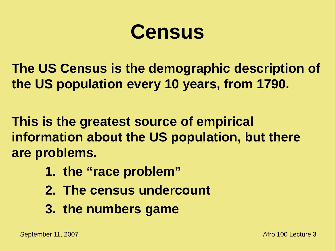## **Census**

**The US Census is the demographic description of the US population every 10 years, from 1790.**

**This is the greatest source of empirical information about the US population, but there are problems.**

- **1. the "race problem"**
- **2. The census undercount**
- **3. the numbers game**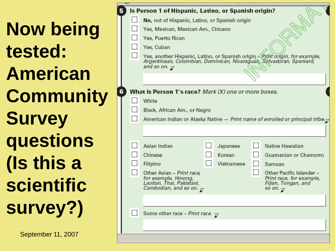| <b>Now being</b>  |
|-------------------|
| tested:           |
| <b>American</b>   |
| <b>Community</b>  |
| <b>Survey</b>     |
| questions         |
| (Is this a        |
| <b>scientific</b> |
| survey?)          |

F

September 11, 2007

| Is Person 1 of Hispanic, Latino, or Spanish origin? |                                                                                                                                                                                                    |  |            |  |                                                                                                                |
|-----------------------------------------------------|----------------------------------------------------------------------------------------------------------------------------------------------------------------------------------------------------|--|------------|--|----------------------------------------------------------------------------------------------------------------|
|                                                     | No, not of Hispanic, Latino, or Spanish origin                                                                                                                                                     |  |            |  |                                                                                                                |
|                                                     | Yes, Mexican, Mexican Am., Chicano                                                                                                                                                                 |  |            |  |                                                                                                                |
|                                                     | Yes, Puerto Rican                                                                                                                                                                                  |  |            |  |                                                                                                                |
|                                                     | Yes, Cuban                                                                                                                                                                                         |  |            |  |                                                                                                                |
|                                                     | Yes, another Hispanic, Latino, or Spanish origin <i>- Print origin, for example,</i><br>Argentinean, Colombian, Dominican, Nicaraguan, Salvadoran, Spaniard,<br>and so on. $\overline{\mathbf{x}}$ |  |            |  |                                                                                                                |
|                                                     |                                                                                                                                                                                                    |  |            |  |                                                                                                                |
|                                                     | <b>What is Person 1's race?</b> Mark (X) one or more boxes.                                                                                                                                        |  |            |  |                                                                                                                |
|                                                     | White                                                                                                                                                                                              |  |            |  |                                                                                                                |
|                                                     | Black, African Am., or Negro                                                                                                                                                                       |  |            |  |                                                                                                                |
|                                                     |                                                                                                                                                                                                    |  |            |  | American Indian or Alaska Native — Print name of enrolled or principal tribe.                                  |
|                                                     |                                                                                                                                                                                                    |  |            |  |                                                                                                                |
|                                                     |                                                                                                                                                                                                    |  |            |  |                                                                                                                |
|                                                     | Asian Indian                                                                                                                                                                                       |  | Japanese   |  | Native Hawaiian                                                                                                |
|                                                     | Chinese                                                                                                                                                                                            |  | Korean     |  | Guamanian or Chamorro                                                                                          |
|                                                     | Filipino                                                                                                                                                                                           |  | Vietnamese |  | Samoan                                                                                                         |
|                                                     | Other Asian - Print race,<br>for example, Hmong,<br>Laotian, Thai, Pakistani,<br>Cambodian, and so on. $\overline{\mathbf{x}}$                                                                     |  |            |  | Other Pacific Islander -<br>Print race, for example,<br>Fijian, Tongan, and<br>so on. $\overline{\mathcal{C}}$ |
|                                                     |                                                                                                                                                                                                    |  |            |  |                                                                                                                |
|                                                     | Some other race - Print race. $\overline{\mathcal{L}}$                                                                                                                                             |  |            |  |                                                                                                                |
|                                                     |                                                                                                                                                                                                    |  |            |  |                                                                                                                |
|                                                     |                                                                                                                                                                                                    |  |            |  |                                                                                                                |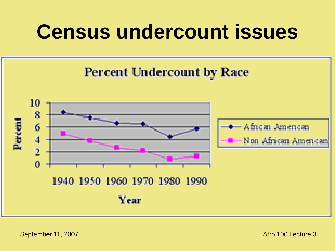## **Census undercount issues**

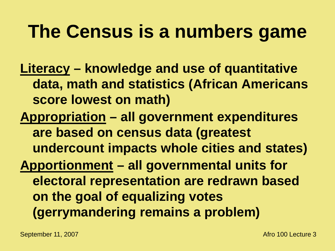### **The Census is a numbers game**

**Literacy – knowledge and use of quantitative data, math and statistics (African Americans score lowest on math)**

**Appropriation – all government expenditures are based on census data (greatest undercount impacts whole cities and states) Apportionment – all governmental units for electoral representation are redrawn based on the goal of equalizing votes (gerrymandering remains a problem)**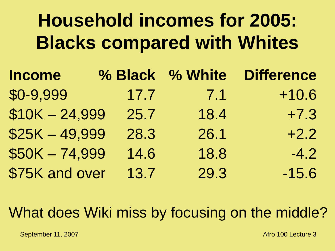## **Household incomes for 2005: Blacks compared with Whites**

| <b>Income</b>   |      | % Black % White | <b>Difference</b> |
|-----------------|------|-----------------|-------------------|
| \$0-9,999       | 17.7 | 7.1             | $+10.6$           |
| $$10K - 24,999$ | 25.7 | 18.4            | $+7.3$            |
| $$25K - 49,999$ | 28.3 | 26.1            | $+2.2$            |
| $$50K - 74,999$ | 14.6 | 18.8            | $-4.2$            |
| \$75K and over  | 13.7 | 29.3            | $-15.6$           |

#### What does Wiki miss by focusing on the middle?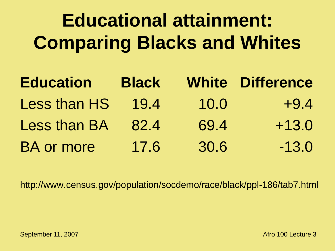## **Educational attainment: Comparing Blacks and Whites**

| <b>Education</b>    | <b>Black</b> |      | <b>White Difference</b> |
|---------------------|--------------|------|-------------------------|
| Less than HS        | 19.4         | 10.0 | $+9.4$                  |
| <b>Less than BA</b> | 82.4         | 69.4 | $+13.0$                 |
| <b>BA or more</b>   | 17.6         | 30.6 | $-13.0$                 |

http://www.census.gov/population/socdemo/race/black/ppl-186/tab7.html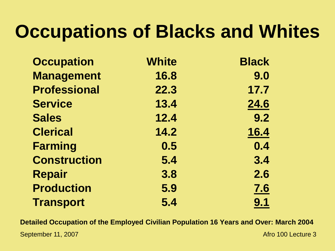## **Occupations of Blacks and Whites**

| <b>Occupation</b>   | <b>White</b> | <b>Black</b> |
|---------------------|--------------|--------------|
| <b>Management</b>   | 16.8         | 9.0          |
| <b>Professional</b> | 22.3         | 17.7         |
| <b>Service</b>      | 13.4         | 24.6         |
| <b>Sales</b>        | 12.4         | 9.2          |
| <b>Clerical</b>     | 14.2         | 16.4         |
| <b>Farming</b>      | 0.5          | 0.4          |
| <b>Construction</b> | 5.4          | 3.4          |
| <b>Repair</b>       | 3.8          | 2.6          |
| <b>Production</b>   | 5.9          | <u>7.6</u>   |
| <b>Transport</b>    | 5.4          | 9.1          |

**Detailed Occupation of the Employed Civilian Population 16 Years and Over: March 2004**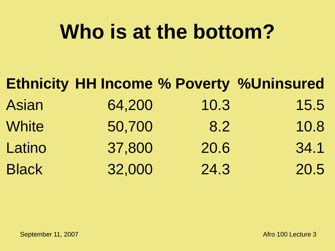## **Who is at the bottom?**

|              |        |      | <b>Ethnicity HH Income % Poverty %Uninsured</b> |
|--------------|--------|------|-------------------------------------------------|
| Asian        | 64,200 | 10.3 | 15.5                                            |
| <b>White</b> | 50,700 | 8.2  | 10.8                                            |
| Latino       | 37,800 | 20.6 | 34.1                                            |
| <b>Black</b> | 32,000 | 24.3 | 20.5                                            |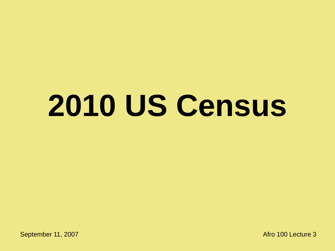## **2010 US Census**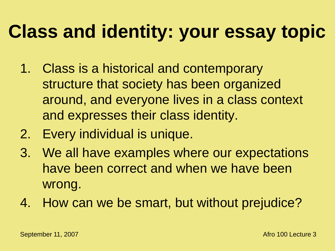## **Class and identity: your essay topic**

- 1. Class is a historical and contemporary structure that society has been organized around, and everyone lives in a class context and expresses their class identity.
- 2. Every individual is unique.
- 3. We all have examples where our expectations have been correct and when we have been wrong.
- 4. How can we be smart, but without prejudice?